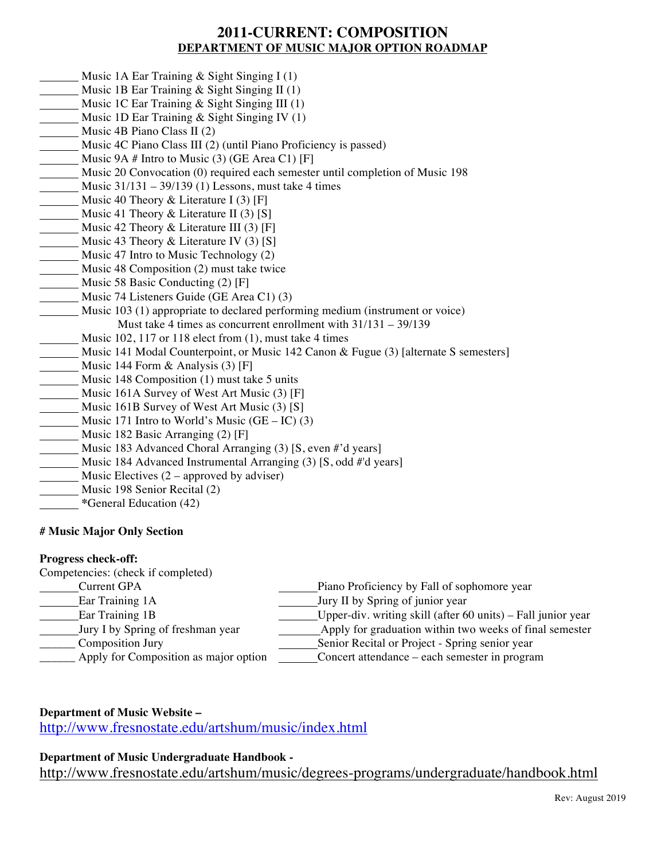# **2011-CURRENT: COMPOSITION DEPARTMENT OF MUSIC MAJOR OPTION ROADMAP**

- Music 1A Ear Training & Sight Singing I (1)
- Music 1B Ear Training & Sight Singing II (1)
- Music 1C Ear Training & Sight Singing III (1)
- Music 1D Ear Training & Sight Singing IV (1)
- Music 4B Piano Class II (2)
- Music 4C Piano Class III (2) (until Piano Proficiency is passed)
- Music 9A # Intro to Music (3) (GE Area C1) [F]
- Music 20 Convocation (0) required each semester until completion of Music 198
- Music 31/131 39/139 (1) Lessons, must take 4 times
- Music 40 Theory & Literature I  $(3)$  [F]
- Music 41 Theory & Literature II (3) [S]
- Music 42 Theory & Literature III (3) [F]
- Music 43 Theory & Literature IV (3) [S]
- Music 47 Intro to Music Technology (2)
- Music 48 Composition (2) must take twice
- Music 58 Basic Conducting (2) [F]
- Music 74 Listeners Guide (GE Area C1) (3)
- Music 103 (1) appropriate to declared performing medium (instrument or voice) Must take 4 times as concurrent enrollment with 31/131 – 39/139
- Music 102, 117 or 118 elect from (1), must take 4 times
- Music 141 Modal Counterpoint, or Music 142 Canon & Fugue (3) [alternate S semesters]
- Music 144 Form & Analysis (3) [F]
- Music 148 Composition (1) must take 5 units
- Music 161A Survey of West Art Music (3) [F]
- Music 161B Survey of West Art Music (3) [S]
- Music 171 Intro to World's Music  $(GE IC)$  (3)
- Music 182 Basic Arranging (2) [F]
- Music 183 Advanced Choral Arranging (3) [S, even #'d years]
- Music 184 Advanced Instrumental Arranging (3) [S, odd #'d years]
- Music Electives  $(2$  approved by adviser)
- Music 198 Senior Recital (2)
- **\***General Education (42)

### **# Music Major Only Section**

#### **Progress check-off:**

Competencies: (check if completed)

| Current GPA                           | Piano Proficiency by Fall of sophomore year                  |
|---------------------------------------|--------------------------------------------------------------|
| Ear Training 1A                       | Jury II by Spring of junior year                             |
| Ear Training 1B                       | Upper-div. writing skill (after 60 units) – Fall junior year |
| Jury I by Spring of freshman year     | Apply for graduation within two weeks of final semester      |
| Composition Jury                      | Senior Recital or Project - Spring senior year               |
| Apply for Composition as major option | Concert attendance – each semester in program                |
|                                       |                                                              |

### **Department of Music Website –**

http://www.fresnostate.edu/artshum/music/index.html

### **Department of Music Undergraduate Handbook -**

http://www.fresnostate.edu/artshum/music/degrees-programs/undergraduate/handbook.html